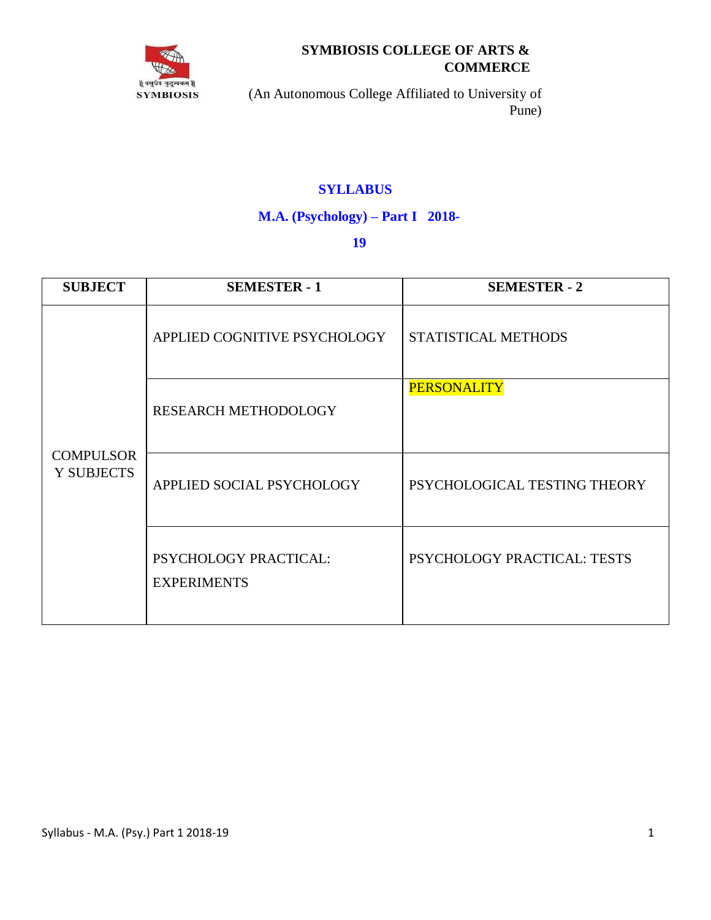

# **SYMBIOSIS COLLEGE OF ARTS & COMMERCE**

(An Autonomous College Affiliated to University of Pune)

# **SYLLABUS**

## **M.A. (Psychology) – Part I 2018-**

## **19**

| <b>SUBJECT</b>                        | <b>SEMESTER - 1</b>                         | <b>SEMESTER - 2</b>          |
|---------------------------------------|---------------------------------------------|------------------------------|
| <b>COMPULSOR</b><br><b>Y SUBJECTS</b> | APPLIED COGNITIVE PSYCHOLOGY                | STATISTICAL METHODS          |
|                                       | <b>RESEARCH METHODOLOGY</b>                 | <b>PERSONALITY</b>           |
|                                       | APPLIED SOCIAL PSYCHOLOGY                   | PSYCHOLOGICAL TESTING THEORY |
|                                       | PSYCHOLOGY PRACTICAL:<br><b>EXPERIMENTS</b> | PSYCHOLOGY PRACTICAL: TESTS  |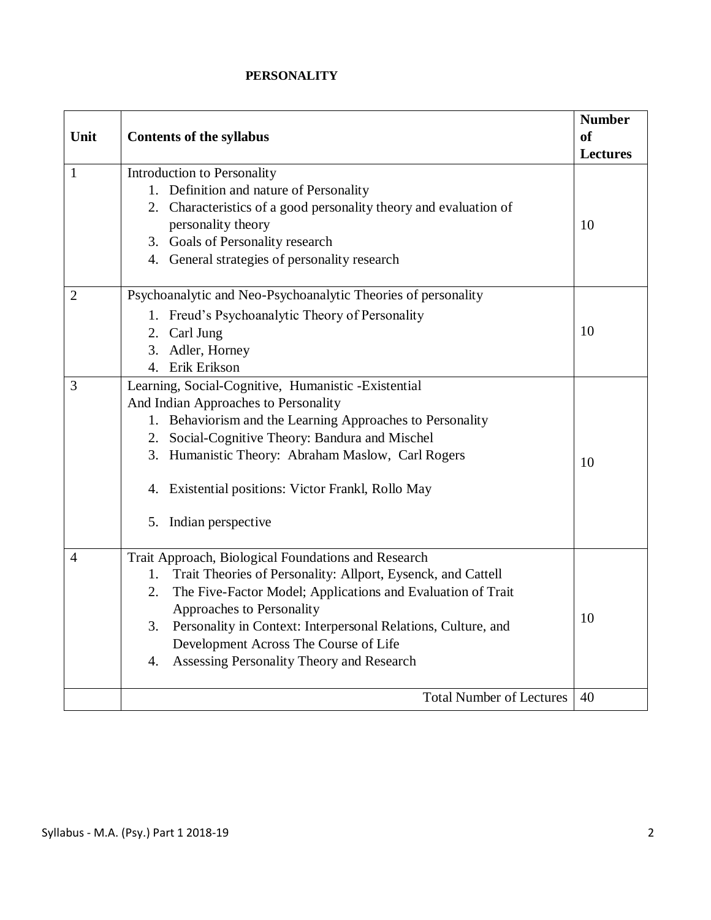### **PERSONALITY**

|                |                                                                     | <b>Number</b>   |
|----------------|---------------------------------------------------------------------|-----------------|
| Unit           | <b>Contents of the syllabus</b>                                     | <b>of</b>       |
|                |                                                                     | <b>Lectures</b> |
| 1              | Introduction to Personality                                         |                 |
|                | 1. Definition and nature of Personality                             |                 |
|                | 2. Characteristics of a good personality theory and evaluation of   |                 |
|                | personality theory                                                  | 10              |
|                | 3. Goals of Personality research                                    |                 |
|                | 4. General strategies of personality research                       |                 |
| $\overline{2}$ | Psychoanalytic and Neo-Psychoanalytic Theories of personality       |                 |
|                | 1. Freud's Psychoanalytic Theory of Personality                     |                 |
|                | 2. Carl Jung                                                        | 10              |
|                | 3. Adler, Horney                                                    |                 |
|                | 4. Erik Erikson                                                     |                 |
| 3              | Learning, Social-Cognitive, Humanistic -Existential                 |                 |
|                | And Indian Approaches to Personality                                |                 |
|                | 1. Behaviorism and the Learning Approaches to Personality           |                 |
|                | 2. Social-Cognitive Theory: Bandura and Mischel                     |                 |
|                | 3. Humanistic Theory: Abraham Maslow, Carl Rogers                   | 10              |
|                | 4. Existential positions: Victor Frankl, Rollo May                  |                 |
|                | 5. Indian perspective                                               |                 |
| 4              | Trait Approach, Biological Foundations and Research                 |                 |
|                | Trait Theories of Personality: Allport, Eysenck, and Cattell<br>1.  |                 |
|                | The Five-Factor Model; Applications and Evaluation of Trait<br>2.   |                 |
|                | Approaches to Personality                                           | 10              |
|                | Personality in Context: Interpersonal Relations, Culture, and<br>3. |                 |
|                | Development Across The Course of Life                               |                 |
|                | Assessing Personality Theory and Research<br>4.                     |                 |
|                | <b>Total Number of Lectures</b>                                     | 40              |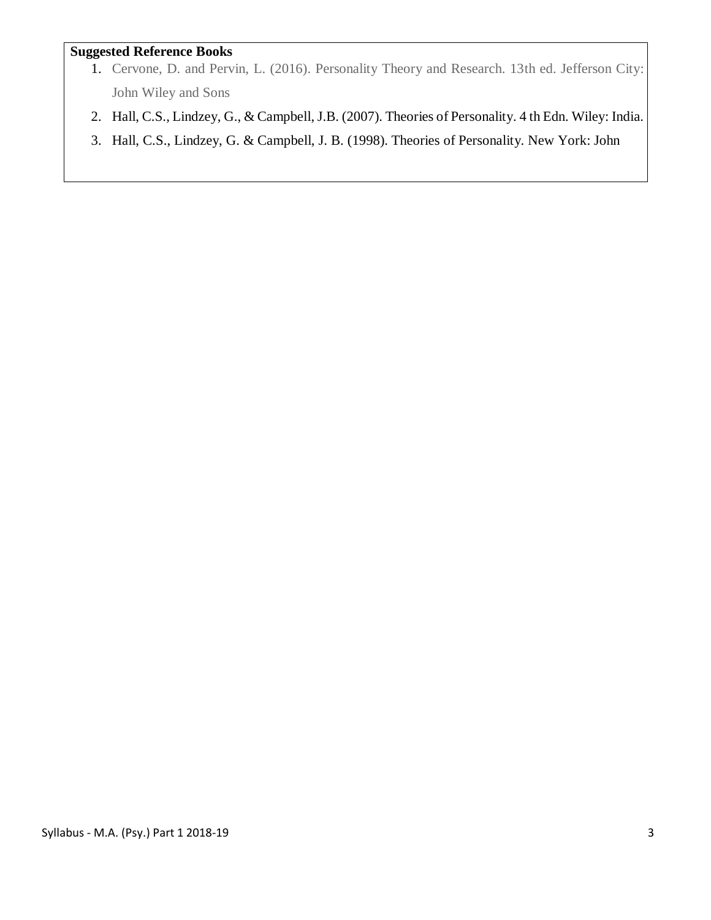### **Suggested Reference Books**

- 1. Cervone, D. and Pervin, L. (2016). Personality Theory and Research. 13th ed. Jefferson City: John Wiley and Sons
- 2. Hall, C.S., Lindzey, G., & Campbell, J.B. (2007). Theories of Personality. 4 th Edn. Wiley: India.
- 3. Hall, C.S., Lindzey, G. & Campbell, J. B. (1998). Theories of Personality. New York: John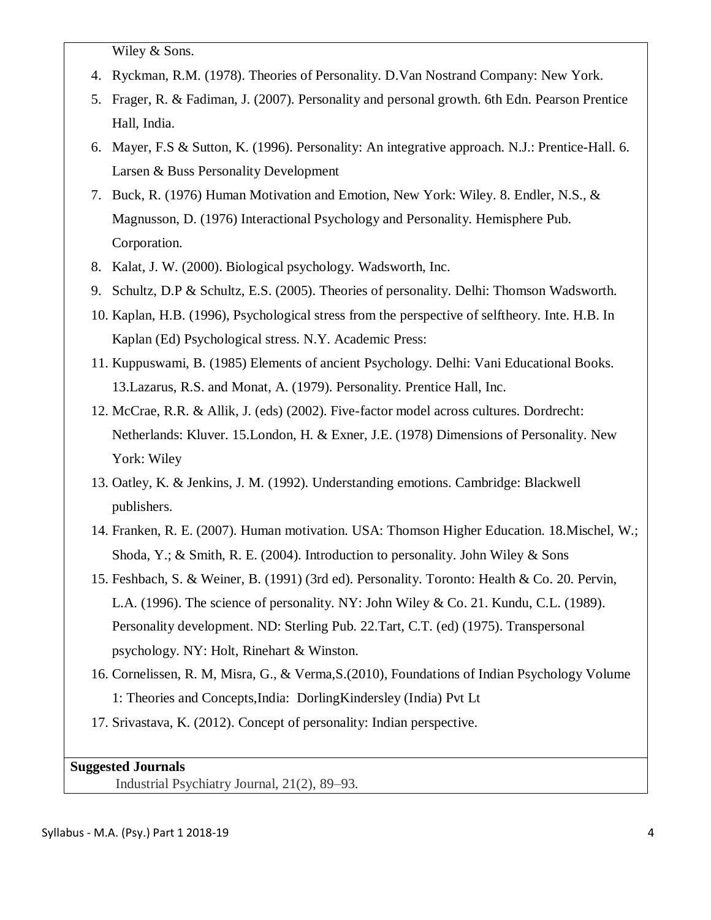Wiley & Sons.

- 4. Ryckman, R.M. (1978). Theories of Personality. D.Van Nostrand Company: New York.
- 5. Frager, R. & Fadiman, J. (2007). Personality and personal growth. 6th Edn. Pearson Prentice Hall, India.
- 6. Mayer, F.S & Sutton, K. (1996). Personality: An integrative approach. N.J.: Prentice-Hall. 6. Larsen & Buss Personality Development
- 7. Buck, R. (1976) Human Motivation and Emotion, New York: Wiley. 8. Endler, N.S., & Magnusson, D. (1976) Interactional Psychology and Personality. Hemisphere Pub. Corporation.
- 8. Kalat, J. W. (2000). Biological psychology. Wadsworth, Inc.
- 9. Schultz, D.P & Schultz, E.S. (2005). Theories of personality. Delhi: Thomson Wadsworth.
- 10. Kaplan, H.B. (1996), Psychological stress from the perspective of selftheory. Inte. H.B. In Kaplan (Ed) Psychological stress. N.Y. Academic Press:
- 11. Kuppuswami, B. (1985) Elements of ancient Psychology. Delhi: Vani Educational Books. 13.Lazarus, R.S. and Monat, A. (1979). Personality. Prentice Hall, Inc.
- 12. McCrae, R.R. & Allik, J. (eds) (2002). Five-factor model across cultures. Dordrecht: Netherlands: Kluver. 15.London, H. & Exner, J.E. (1978) Dimensions of Personality. New York: Wiley
- 13. Oatley, K. & Jenkins, J. M. (1992). Understanding emotions. Cambridge: Blackwell publishers.
- 14. Franken, R. E. (2007). Human motivation. USA: Thomson Higher Education. 18.Mischel, W.; Shoda, Y.; & Smith, R. E. (2004). Introduction to personality. John Wiley & Sons
- 15. Feshbach, S. & Weiner, B. (1991) (3rd ed). Personality. Toronto: Health & Co. 20. Pervin, L.A.  $(1996)$ . The science of personality. NY: John Wiley & Co. 21. Kundu, C.L.  $(1989)$ . Personality development. ND: Sterling Pub. 22.Tart, C.T. (ed) (1975). Transpersonal psychology. NY: Holt, Rinehart & Winston.
- 16. Cornelissen, R. M, Misra, G., & Verma,S.(2010), Foundations of Indian Psychology Volume 1: Theories and Concepts,India: DorlingKindersley (India) Pvt Lt
- 17. Srivastava, K. (2012). Concept of personality: Indian perspective.

## **Suggested Journals**

Industrial Psychiatry Journal, 21(2), 89–93.

#### Syllabus - M.A. (Psy.) Part 1 2018-19 4